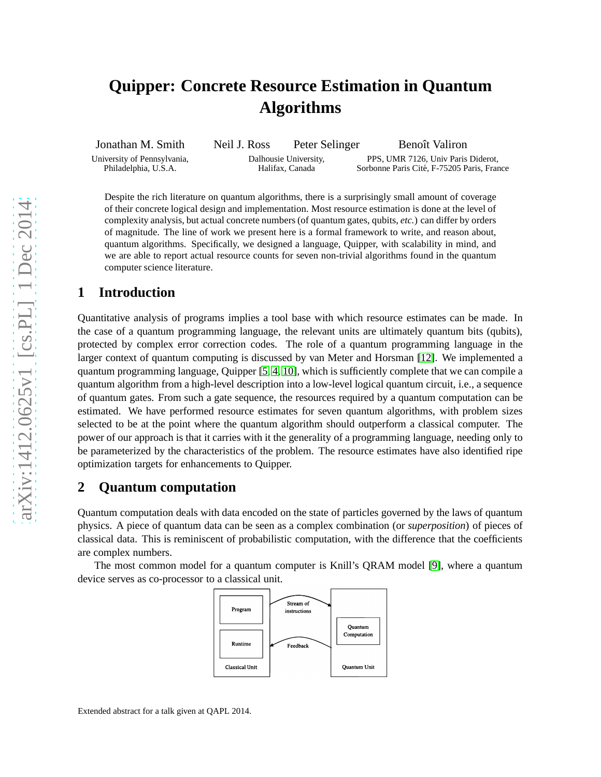# **Quipper: Concrete Resource Estimation in Quantum Algorithms**

Jonathan M. Smith University of Pennsylvania, Philadelphia, U.S.A. Neil J. Ross Peter Selinger Dalhousie University, Halifax, Canada Benoît Valiron PPS, UMR 7126, Univ Paris Diderot, Sorbonne Paris Cité, F-75205 Paris, France

Despite the rich literature on quantum algorithms, there is a surprisingly small amount of coverage of their concrete logical design and implementation. Most resource estimation is done at the level of complexity analysis, but actual concrete numbers (of quantum gates, qubits, *etc.*) can differ by orders of magnitude. The line of work we present here is a formal framework to write, and reason about, quantum algorithms. Specifically, we designed a language, Quipper, with scalability in mind, and we are able to report actual resource counts for seven non-trivial algorithms found in the quantum computer science literature.

### **1 Introduction**

Quantitative analysis of programs implies a tool base with which resource estimates can be made. In the case of a quantum programming language, the relevant units are ultimately quantum bits (qubits), protected by complex error correction codes. The role of a quantum programming language in the larger context of quantum computing is discussed by van Meter and Horsman [\[12\]](#page-3-0). We implemented a quantum programming language, Quipper [\[5,](#page-3-1) [4,](#page-3-2) [10\]](#page-3-3), which is sufficiently complete that we can compile a quantum algorithm from a high-level description into a low-level logical quantum circuit, i.e., a sequence of quantum gates. From such a gate sequence, the resources required by a quantum computation can be estimated. We have performed resource estimates for seven quantum algorithms, with problem sizes selected to be at the point where the quantum algorithm should outperform a classical computer. The power of our approach is that it carries with it the generality of a programming language, needing only to be parameterized by the characteristics of the problem. The resource estimates have also identified ripe optimization targets for enhancements to Quipper.

### **2 Quantum computation**

Quantum computation deals with data encoded on the state of particles governed by the laws of quantum physics. A piece of quantum data can be seen as a complex combination (or *superposition*) of pieces of classical data. This is reminiscent of probabilistic computation, with the difference that the coefficients are complex numbers.

The most common model for a quantum computer is Knill's QRAM model [\[9\]](#page-3-4), where a quantum device serves as co-processor to a classical unit.

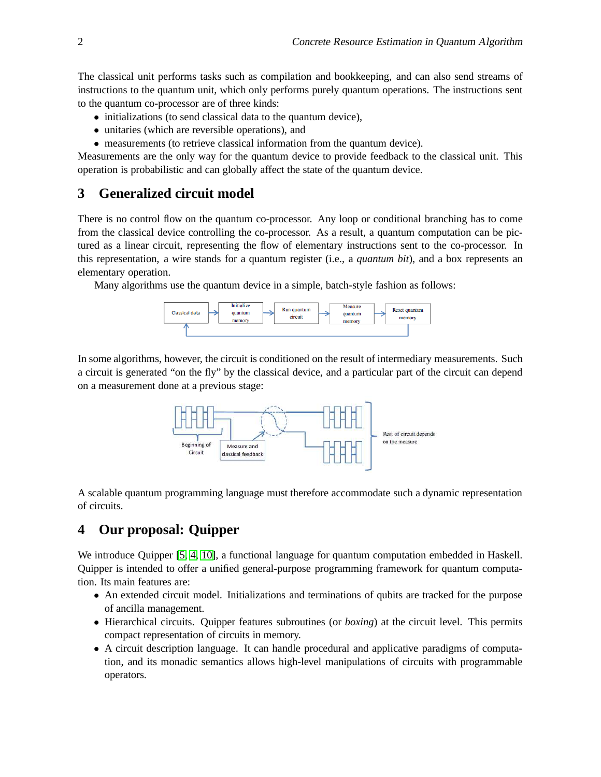The classical unit performs tasks such as compilation and bookkeeping, and can also send streams of instructions to the quantum unit, which only performs purely quantum operations. The instructions sent to the quantum co-processor are of three kinds:

- initializations (to send classical data to the quantum device),
- unitaries (which are reversible operations), and
- measurements (to retrieve classical information from the quantum device).

Measurements are the only way for the quantum device to provide feedback to the classical unit. This operation is probabilistic and can globally affect the state of the quantum device.

## **3 Generalized circuit model**

There is no control flow on the quantum co-processor. Any loop or conditional branching has to come from the classical device controlling the co-processor. As a result, a quantum computation can be pictured as a linear circuit, representing the flow of elementary instructions sent to the co-processor. In this representation, a wire stands for a quantum register (i.e., a *quantum bit*), and a box represents an elementary operation.

Many algorithms use the quantum device in a simple, batch-style fashion as follows:



In some algorithms, however, the circuit is conditioned on the result of intermediary measurements. Such a circuit is generated "on the fly" by the classical device, and a particular part of the circuit can depend on a measurement done at a previous stage:



A scalable quantum programming language must therefore accommodate such a dynamic representation of circuits.

# **4 Our proposal: Quipper**

We introduce Quipper [\[5,](#page-3-1) [4,](#page-3-2) [10\]](#page-3-3), a functional language for quantum computation embedded in Haskell. Quipper is intended to offer a unified general-purpose programming framework for quantum computation. Its main features are:

- An extended circuit model. Initializations and terminations of qubits are tracked for the purpose of ancilla management.
- Hierarchical circuits. Quipper features subroutines (or *boxing*) at the circuit level. This permits compact representation of circuits in memory.
- A circuit description language. It can handle procedural and applicative paradigms of computation, and its monadic semantics allows high-level manipulations of circuits with programmable operators.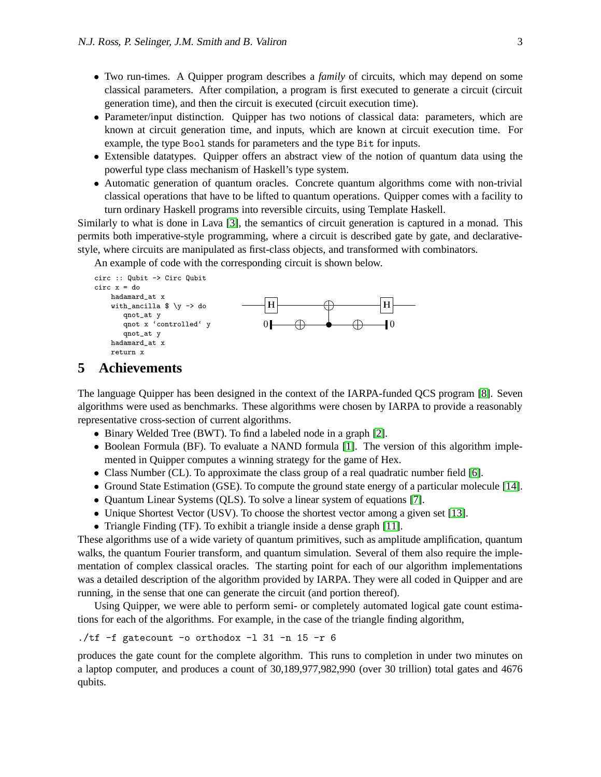- Two run-times. A Quipper program describes a *family* of circuits, which may depend on some classical parameters. After compilation, a program is first executed to generate a circuit (circuit generation time), and then the circuit is executed (circuit execution time).
- Parameter/input distinction. Quipper has two notions of classical data: parameters, which are known at circuit generation time, and inputs, which are known at circuit execution time. For example, the type Bool stands for parameters and the type Bit for inputs.
- Extensible datatypes. Quipper offers an abstract view of the notion of quantum data using the powerful type class mechanism of Haskell's type system.
- Automatic generation of quantum oracles. Concrete quantum algorithms come with non-trivial classical operations that have to be lifted to quantum operations. Quipper comes with a facility to turn ordinary Haskell programs into reversible circuits, using Template Haskell.

Similarly to what is done in Lava [\[3\]](#page-3-5), the semantics of circuit generation is captured in a monad. This permits both imperative-style programming, where a circuit is described gate by gate, and declarativestyle, where circuits are manipulated as first-class objects, and transformed with combinators.

An example of code with the corresponding circuit is shown below.

```
circ :: Qubit -> Circ Qubit
circ x = do
   hadamard_at x
   with_ancilla \sqrt[6]{y} -> do
      qnot_at y
      qnot x 'controlled' y
      qnot_at y
   hadamard_at x
   return x
                                      ❍
                                     ✵ ✵
                                                                \bf H
```
#### **5 Achievements**

The language Quipper has been designed in the context of the IARPA-funded QCS program [\[8\]](#page-3-6). Seven algorithms were used as benchmarks. These algorithms were chosen by IARPA to provide a reasonably representative cross-section of current algorithms.

- Binary Welded Tree (BWT). To find a labeled node in a graph [\[2\]](#page-3-7).
- Boolean Formula (BF). To evaluate a NAND formula [\[1\]](#page-3-8). The version of this algorithm implemented in Quipper computes a winning strategy for the game of Hex.
- Class Number (CL). To approximate the class group of a real quadratic number field [\[6\]](#page-3-9).
- Ground State Estimation (GSE). To compute the ground state energy of a particular molecule [\[14\]](#page-3-10).
- Quantum Linear Systems (QLS). To solve a linear system of equations [\[7\]](#page-3-11).
- Unique Shortest Vector (USV). To choose the shortest vector among a given set [\[13\]](#page-3-12).
- Triangle Finding (TF). To exhibit a triangle inside a dense graph [\[11\]](#page-3-13).

These algorithms use of a wide variety of quantum primitives, such as amplitude amplification, quantum walks, the quantum Fourier transform, and quantum simulation. Several of them also require the implementation of complex classical oracles. The starting point for each of our algorithm implementations was a detailed description of the algorithm provided by IARPA. They were all coded in Quipper and are running, in the sense that one can generate the circuit (and portion thereof).

Using Quipper, we were able to perform semi- or completely automated logical gate count estimations for each of the algorithms. For example, in the case of the triangle finding algorithm,

 $./tf$  -f gatecount -o orthodox -1 31 -n 15 -r 6

produces the gate count for the complete algorithm. This runs to completion in under two minutes on a laptop computer, and produces a count of 30,189,977,982,990 (over 30 trillion) total gates and 4676 qubits.